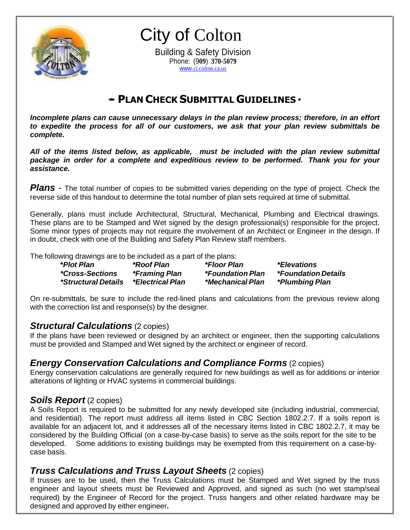

City of Colton

Building & Safety Division Phone: (9**09**) **370-5079** www.[ci.colton.ca.us](http://www.ci.colton.ca.us/)

# •**<sup>P</sup>LAN <sup>C</sup>HECK <sup>S</sup>UBMITTAL <sup>G</sup>UIDELINES** •

*Incomplete plans can cause unnecessary delays in the plan review process; therefore, in an effort to expedite the process for all of our customers, we ask that your plan review submittals be complete.*

*All of the items listed below, as applicable, must be included with the plan review submittal package in order for a complete and expeditious review to be performed. Thank you for your assistance.*

**Plans** - The total number of copies to be submitted varies depending on the type of project. Check the reverse side of this handout to determine the total number of plan sets required at time of submittal.

Generally, plans must include Architectural, Structural, Mechanical, Plumbing and Electrical drawings. These plans are to be Stamped and Wet signed by the design professional(s) responsible for the project. Some minor types of projects may not require the involvement of an Architect or Engineer in the design. If in doubt, check with one of the Building and Safety Plan Review staff members.

The following drawings are to be included as a part of the plans:

| *Plot Plan                    | *Roof Plan                  | *Floor Plan             | <i>*Elevations</i>                |
|-------------------------------|-----------------------------|-------------------------|-----------------------------------|
| <i><b>*Cross-Sections</b></i> | <i><b>*Framing Plan</b></i> | <i>*Foundation Plan</i> | <i><b>*Foundation Details</b></i> |
| <i>*Structural Details</i>    | <i>*Electrical Plan</i>     | <i>*Mechanical Plan</i> | <i><b>*Plumbing Plan</b></i>      |

On re-submittals, be sure to include the red-lined plans and calculations from the previous review along with the correction list and response(s) by the designer.

## *Structural Calculations* (2 copies)

If the plans have been reviewed or designed by an architect or engineer, then the supporting calculations must be provided and Stamped and Wet signed by the architect or engineer of record.

## *Energy Conservation Calculations and Compliance Forms* (2 copies)

Energy conservation calculations are generally required for new buildings as well as for additions or interior alterations of lighting or HVAC systems in commercial buildings.

## *Soils Report* (2 copies)

A Soils Report is required to be submitted for any newly developed site (including industrial, commercial, and residential). The report must address all items listed in CBC Section 1802.2.7. If a soils report is available for an adjacent lot, and it addresses all of the necessary items listed in CBC 1802.2.7, it may be considered by the Building Official (on a case-by-case basis) to serve as the soils report for the site to be developed. Some additions to existing buildings may be exempted from this requirement on a case-bycase basis.

## *Truss Calculations and Truss Layout Sheets* (2 copies)

If trusses are to be used, then the Truss Calculations must be Stamped and Wet signed by the truss engineer and layout sheets must be Reviewed and Approved, and signed as such (no wet stamp/seal required) by the Engineer of Record for the project. Truss hangers and other related hardware may be designed and approved by either engineer**.**